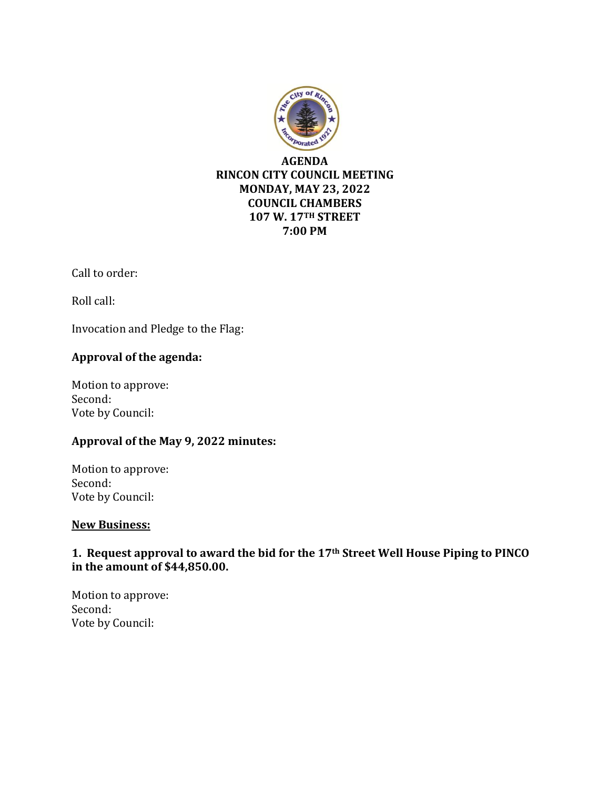

Call to order:

Roll call:

Invocation and Pledge to the Flag:

## **Approval of the agenda:**

Motion to approve: Second: Vote by Council:

### **Approval of the May 9, 2022 minutes:**

Motion to approve: Second: Vote by Council:

### **New Business:**

## **1. Request approval to award the bid for the 17th Street Well House Piping to PINCO in the amount of \$44,850.00.**

Motion to approve: Second: Vote by Council: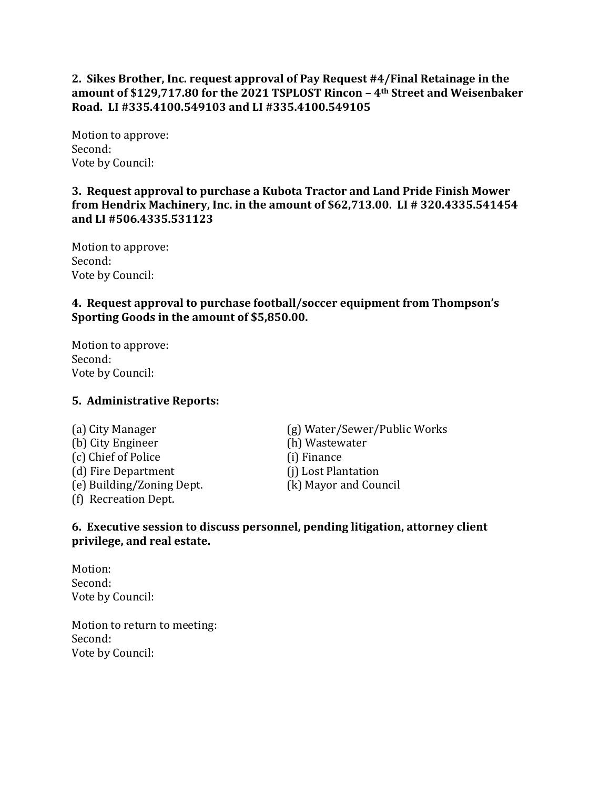## **2. Sikes Brother, Inc. request approval of Pay Request #4/Final Retainage in the amount of \$129,717.80 for the 2021 TSPLOST Rincon – 4th Street and Weisenbaker Road. LI #335.4100.549103 and LI #335.4100.549105**

Motion to approve: Second: Vote by Council:

## **3. Request approval to purchase a Kubota Tractor and Land Pride Finish Mower from Hendrix Machinery, Inc. in the amount of \$62,713.00. LI # 320.4335.541454 and LI #506.4335.531123**

Motion to approve: Second: Vote by Council:

## **4. Request approval to purchase football/soccer equipment from Thompson's Sporting Goods in the amount of \$5,850.00.**

Motion to approve: Second: Vote by Council:

### **5. Administrative Reports:**

(b) City Engineer (h) Wastewater (c) Chief of Police (i) Finance (d) Fire Department (j) Lost Plantation (e) Building/Zoning Dept. (k) Mayor and Council (f) Recreation Dept.

(a) City Manager (g) Water/Sewer/Public Works

### **6. Executive session to discuss personnel, pending litigation, attorney client privilege, and real estate.**

Motion: Second: Vote by Council:

Motion to return to meeting: Second: Vote by Council: